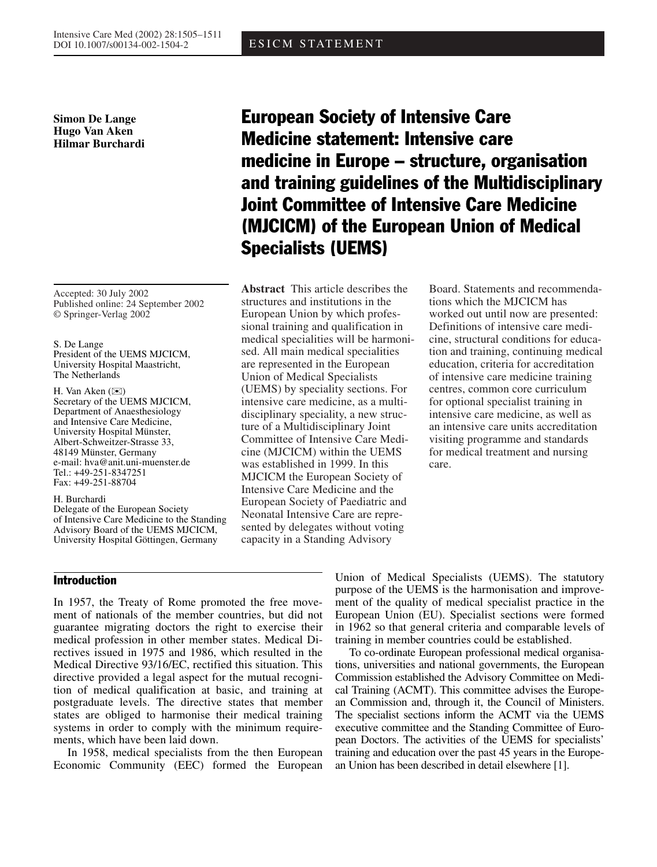**Simon De Lange Hugo Van Aken Hilmar Burchardi**

Accepted: 30 July 2002 Published online: 24 September 2002 © Springer-Verlag 2002

S. De Lange President of the UEMS MJCICM, University Hospital Maastricht, The Netherlands

H. Van Aken  $(\mathbb{Z})$ Secretary of the UEMS MJCICM, Department of Anaesthesiology and Intensive Care Medicine, University Hospital Münster, Albert-Schweitzer-Strasse 33, 48149 Münster, Germany e-mail: hva@anit.uni-muenster.de Tel.: +49-251-8347251 Fax: +49-251-88704

#### H. Burchardi

Delegate of the European Society of Intensive Care Medicine to the Standing Advisory Board of the UEMS MJCICM, University Hospital Göttingen, Germany

European Society of Intensive Care Medicine statement: Intensive care medicine in Europe – structure, organisation and training guidelines of the Multidisciplinary Joint Committee of Intensive Care Medicine (MJCICM) of the European Union of Medical Specialists (UEMS)

**Abstract** This article describes the structures and institutions in the European Union by which professional training and qualification in medical specialities will be harmonised. All main medical specialities are represented in the European Union of Medical Specialists (UEMS) by speciality sections. For intensive care medicine, as a multidisciplinary speciality, a new structure of a Multidisciplinary Joint Committee of Intensive Care Medicine (MJCICM) within the UEMS was established in 1999. In this MJCICM the European Society of Intensive Care Medicine and the European Society of Paediatric and Neonatal Intensive Care are represented by delegates without voting capacity in a Standing Advisory

Board. Statements and recommendations which the MJCICM has worked out until now are presented: Definitions of intensive care medicine, structural conditions for education and training, continuing medical education, criteria for accreditation of intensive care medicine training centres, common core curriculum for optional specialist training in intensive care medicine, as well as an intensive care units accreditation visiting programme and standards for medical treatment and nursing care.

# Introduction

In 1957, the Treaty of Rome promoted the free movement of nationals of the member countries, but did not guarantee migrating doctors the right to exercise their medical profession in other member states. Medical Directives issued in 1975 and 1986, which resulted in the Medical Directive 93/16/EC, rectified this situation. This directive provided a legal aspect for the mutual recognition of medical qualification at basic, and training at postgraduate levels. The directive states that member states are obliged to harmonise their medical training systems in order to comply with the minimum requirements, which have been laid down.

In 1958, medical specialists from the then European Economic Community (EEC) formed the European Union of Medical Specialists (UEMS). The statutory purpose of the UEMS is the harmonisation and improvement of the quality of medical specialist practice in the European Union (EU). Specialist sections were formed in 1962 so that general criteria and comparable levels of training in member countries could be established.

To co-ordinate European professional medical organisations, universities and national governments, the European Commission established the Advisory Committee on Medical Training (ACMT). This committee advises the European Commission and, through it, the Council of Ministers. The specialist sections inform the ACMT via the UEMS executive committee and the Standing Committee of European Doctors. The activities of the UEMS for specialists' training and education over the past 45 years in the European Union has been described in detail elsewhere [1].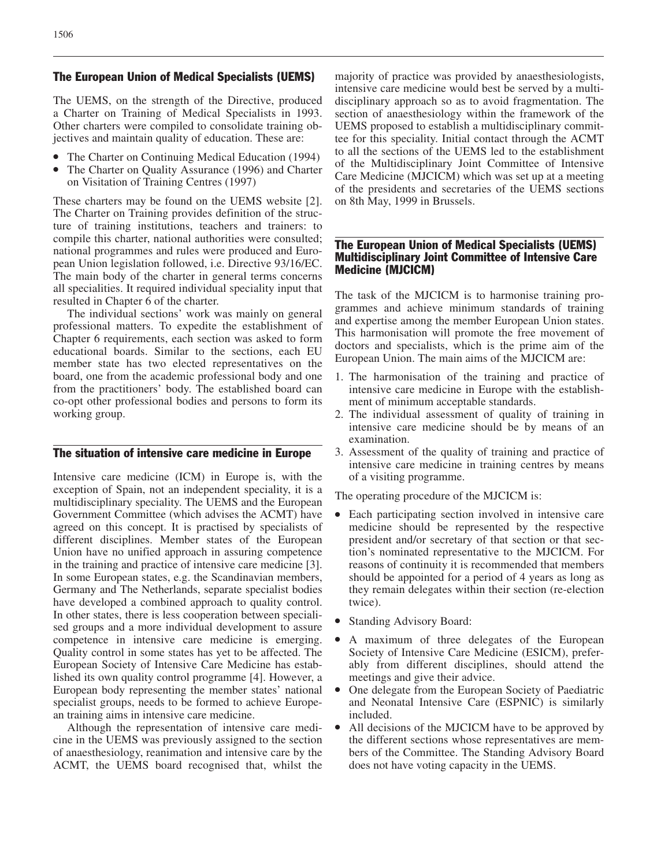The UEMS, on the strength of the Directive, produced a Charter on Training of Medical Specialists in 1993. Other charters were compiled to consolidate training objectives and maintain quality of education. These are:

- The Charter on Continuing Medical Education (1994)
- The Charter on Quality Assurance (1996) and Charter on Visitation of Training Centres (1997)

These charters may be found on the UEMS website [2]. The Charter on Training provides definition of the structure of training institutions, teachers and trainers: to compile this charter, national authorities were consulted; national programmes and rules were produced and European Union legislation followed, i.e. Directive 93/16/EC. The main body of the charter in general terms concerns all specialities. It required individual speciality input that resulted in Chapter 6 of the charter.

The individual sections' work was mainly on general professional matters. To expedite the establishment of Chapter 6 requirements, each section was asked to form educational boards. Similar to the sections, each EU member state has two elected representatives on the board, one from the academic professional body and one from the practitioners' body. The established board can co-opt other professional bodies and persons to form its working group.

### The situation of intensive care medicine in Europe

Intensive care medicine (ICM) in Europe is, with the exception of Spain, not an independent speciality, it is a multidisciplinary speciality. The UEMS and the European Government Committee (which advises the ACMT) have agreed on this concept. It is practised by specialists of different disciplines. Member states of the European Union have no unified approach in assuring competence in the training and practice of intensive care medicine [3]. In some European states, e.g. the Scandinavian members, Germany and The Netherlands, separate specialist bodies have developed a combined approach to quality control. In other states, there is less cooperation between specialised groups and a more individual development to assure competence in intensive care medicine is emerging. Quality control in some states has yet to be affected. The European Society of Intensive Care Medicine has established its own quality control programme [4]. However, a European body representing the member states' national specialist groups, needs to be formed to achieve European training aims in intensive care medicine.

Although the representation of intensive care medicine in the UEMS was previously assigned to the section of anaesthesiology, reanimation and intensive care by the ACMT, the UEMS board recognised that, whilst the

majority of practice was provided by anaesthesiologists, intensive care medicine would best be served by a multidisciplinary approach so as to avoid fragmentation. The section of anaesthesiology within the framework of the UEMS proposed to establish a multidisciplinary committee for this speciality. Initial contact through the ACMT to all the sections of the UEMS led to the establishment of the Multidisciplinary Joint Committee of Intensive Care Medicine (MJCICM) which was set up at a meeting of the presidents and secretaries of the UEMS sections on 8th May, 1999 in Brussels.

### The European Union of Medical Specialists (UEMS) Multidisciplinary Joint Committee of Intensive Care Medicine (MJCICM)

The task of the MJCICM is to harmonise training programmes and achieve minimum standards of training and expertise among the member European Union states. This harmonisation will promote the free movement of doctors and specialists, which is the prime aim of the European Union. The main aims of the MJCICM are:

- 1. The harmonisation of the training and practice of intensive care medicine in Europe with the establishment of minimum acceptable standards.
- 2. The individual assessment of quality of training in intensive care medicine should be by means of an examination.
- 3. Assessment of the quality of training and practice of intensive care medicine in training centres by means of a visiting programme.

The operating procedure of the MJCICM is:

- Each participating section involved in intensive care medicine should be represented by the respective president and/or secretary of that section or that section's nominated representative to the MJCICM. For reasons of continuity it is recommended that members should be appointed for a period of 4 years as long as they remain delegates within their section (re-election twice).
- Standing Advisory Board:
- A maximum of three delegates of the European Society of Intensive Care Medicine (ESICM), preferably from different disciplines, should attend the meetings and give their advice.
- One delegate from the European Society of Paediatric and Neonatal Intensive Care (ESPNIC) is similarly included.
- All decisions of the MJCICM have to be approved by the different sections whose representatives are members of the Committee. The Standing Advisory Board does not have voting capacity in the UEMS.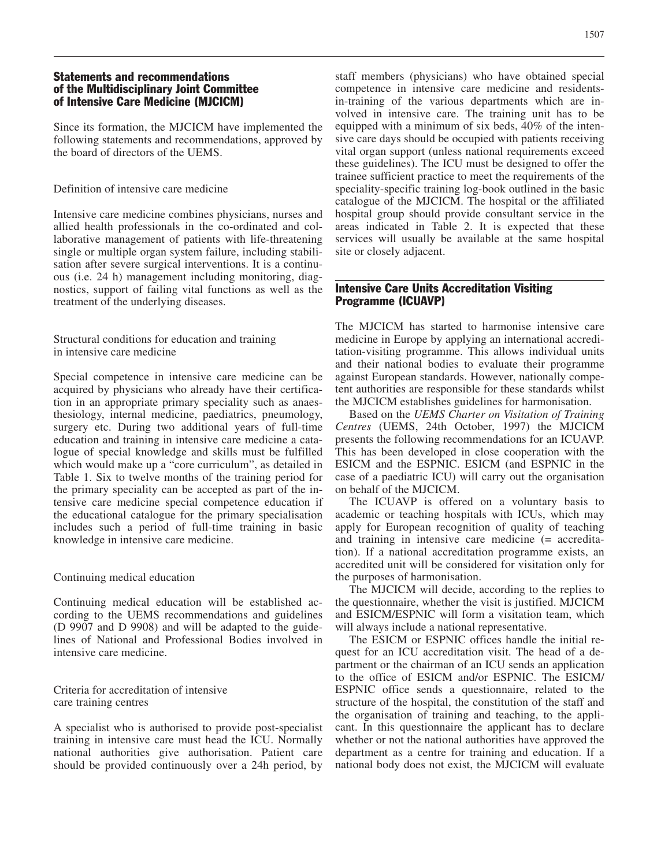### Statements and recommendations of the Multidisciplinary Joint Committee of Intensive Care Medicine (MJCICM)

Since its formation, the MJCICM have implemented the following statements and recommendations, approved by the board of directors of the UEMS.

### Definition of intensive care medicine

Intensive care medicine combines physicians, nurses and allied health professionals in the co-ordinated and collaborative management of patients with life-threatening single or multiple organ system failure, including stabilisation after severe surgical interventions. It is a continuous (i.e. 24 h) management including monitoring, diagnostics, support of failing vital functions as well as the treatment of the underlying diseases.

Structural conditions for education and training in intensive care medicine

Special competence in intensive care medicine can be acquired by physicians who already have their certification in an appropriate primary speciality such as anaesthesiology, internal medicine, paediatrics, pneumology, surgery etc. During two additional years of full-time education and training in intensive care medicine a catalogue of special knowledge and skills must be fulfilled which would make up a "core curriculum", as detailed in Table 1. Six to twelve months of the training period for the primary speciality can be accepted as part of the intensive care medicine special competence education if the educational catalogue for the primary specialisation includes such a period of full-time training in basic knowledge in intensive care medicine.

### Continuing medical education

Continuing medical education will be established according to the UEMS recommendations and guidelines (D 9907 and D 9908) and will be adapted to the guidelines of National and Professional Bodies involved in intensive care medicine.

### Criteria for accreditation of intensive care training centres

A specialist who is authorised to provide post-specialist training in intensive care must head the ICU. Normally national authorities give authorisation. Patient care should be provided continuously over a 24h period, by staff members (physicians) who have obtained special competence in intensive care medicine and residentsin-training of the various departments which are involved in intensive care. The training unit has to be equipped with a minimum of six beds, 40% of the intensive care days should be occupied with patients receiving vital organ support (unless national requirements exceed these guidelines). The ICU must be designed to offer the trainee sufficient practice to meet the requirements of the speciality-specific training log-book outlined in the basic catalogue of the MJCICM. The hospital or the affiliated hospital group should provide consultant service in the areas indicated in Table 2. It is expected that these services will usually be available at the same hospital site or closely adjacent.

### Intensive Care Units Accreditation Visiting Programme (ICUAVP)

The MJCICM has started to harmonise intensive care medicine in Europe by applying an international accreditation-visiting programme. This allows individual units and their national bodies to evaluate their programme against European standards. However, nationally competent authorities are responsible for these standards whilst the MJCICM establishes guidelines for harmonisation.

Based on the *UEMS Charter on Visitation of Training Centres* (UEMS, 24th October, 1997) the MJCICM presents the following recommendations for an ICUAVP. This has been developed in close cooperation with the ESICM and the ESPNIC. ESICM (and ESPNIC in the case of a paediatric ICU) will carry out the organisation on behalf of the MJCICM.

The ICUAVP is offered on a voluntary basis to academic or teaching hospitals with ICUs, which may apply for European recognition of quality of teaching and training in intensive care medicine (= accreditation). If a national accreditation programme exists, an accredited unit will be considered for visitation only for the purposes of harmonisation.

The MJCICM will decide, according to the replies to the questionnaire, whether the visit is justified. MJCICM and ESICM/ESPNIC will form a visitation team, which will always include a national representative.

The ESICM or ESPNIC offices handle the initial request for an ICU accreditation visit. The head of a department or the chairman of an ICU sends an application to the office of ESICM and/or ESPNIC. The ESICM/ ESPNIC office sends a questionnaire, related to the structure of the hospital, the constitution of the staff and the organisation of training and teaching, to the applicant. In this questionnaire the applicant has to declare whether or not the national authorities have approved the department as a centre for training and education. If a national body does not exist, the MJCICM will evaluate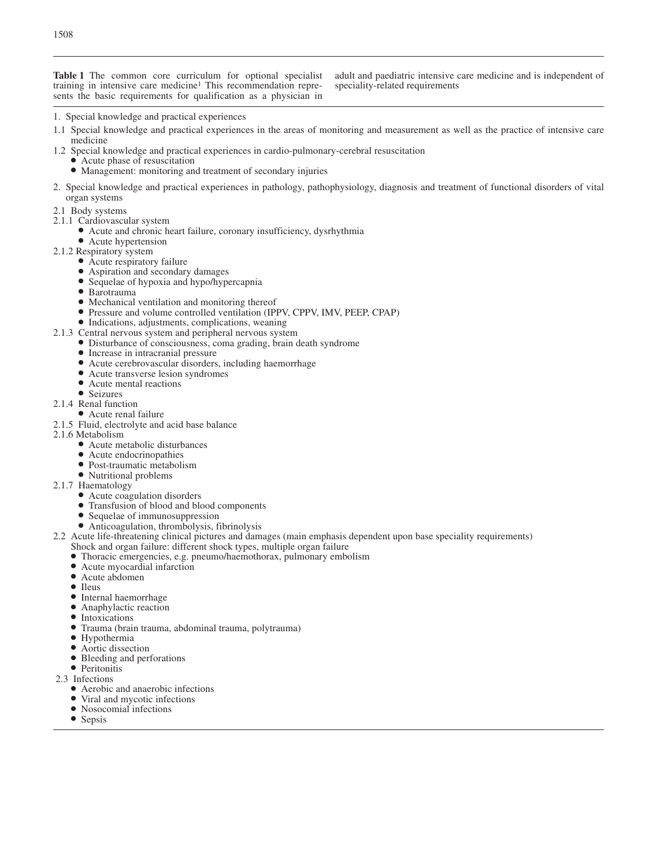**Table 1** The common core curriculum for optional specialist training in intensive care medicine1 This recommendation represents the basic requirements for qualification as a physician in adult and paediatric intensive care medicine and is independent of speciality-related requirements

- 1. Special knowledge and practical experiences
- 1.1 Special knowledge and practical experiences in the areas of monitoring and measurement as well as the practice of intensive care medicine
- 1.2 Special knowledge and practical experiences in cardio-pulmonary-cerebral resuscitation Acute phase of resuscitation Management: monitoring and treatment of secondary injuries
	-
	-
- 2. Special knowledge and practical experiences in pathology, pathophysiology, diagnosis and treatment of functional disorders of vital organ systems
- 
- 2.1 Body systems<br>2.1.1 Cardiovascular system
- Acute and chronic heart failure, coronary insufficiency, dysrhythmia<br>● Acute hypertension<br>2.1.2 Respiratory system
	-
- -
	-
	-
	-
	-
- <ul>\n<li> Acute respiratory failure</li>\n<li> Aspiration and secondary damages</li>\n<li> Sequence of hypoxia and hypo/hypercapia</li>\n<li> Barotrauma</li>\n<li> Mechanical ventilation and monitoring thereof</li>\n<li> Pressure and volume controlled ventilation (IPPV, CPPV, IMV, PEEP, CPAP)</li>\n<li> Indications, adjustments, complications, weaning</li>\n<li>2.1.3 Central nervous system and peripheral nervous system</li>\n</ul>
	-
	-
- Disturbance of consciousness, coma grading, brain death syndrome<br>• Increase in intracranial pressure<br>• Acute cerebrovascular disorders, including haemorrhage<br>• Acute transverse lesion syndromes<br>• Acute mental reactions<br>•
	-
	-
	-
	-
	-
	-
- Acute renal failure
- 2.1.5 Fluid, electrolyte and acid base balance
- 
- Acute metabolic disturbances<br>● Acute endocrinopathies<br>● Post-traumatic metabolism<br>● Nutritional problems<br>2.1.7 Haematology
	-
	-
	-
- -
	-
	-
	- Acute coagulation disorders<br>● Transfusion of blood and blood components<br>● Sequelae of immunosuppression<br>● Anticoagulation, thrombolysis, fibrinolysis
- 2.2 Acute life-threatening clinical pictures and damages (main emphasis dependent upon base speciality requirements) Shock and organ failure: different shock types, multiple organ failure
	- Thoracic emergencies, e.g. pneumo/haemothorax, pulmonary embolism<br>
	Acute myocardial infarction<br>
	Acute abdomen<br>
	Ileus<br>
	Internal haemorrhage<br>
	Anaphylactic reaction<br>
	Irravications<br>
	Irravications<br>
	Hypothermia
	-
	-
	-
	-
	-
	-
	-
	-
	-
	-
	-
	-
- 2.3 Infections<br>
Aerobic and anaerobic infections<br>
Viral and mycotic infections<br>
Nosocomial infections<br>
Sepsis
	-
	-
	-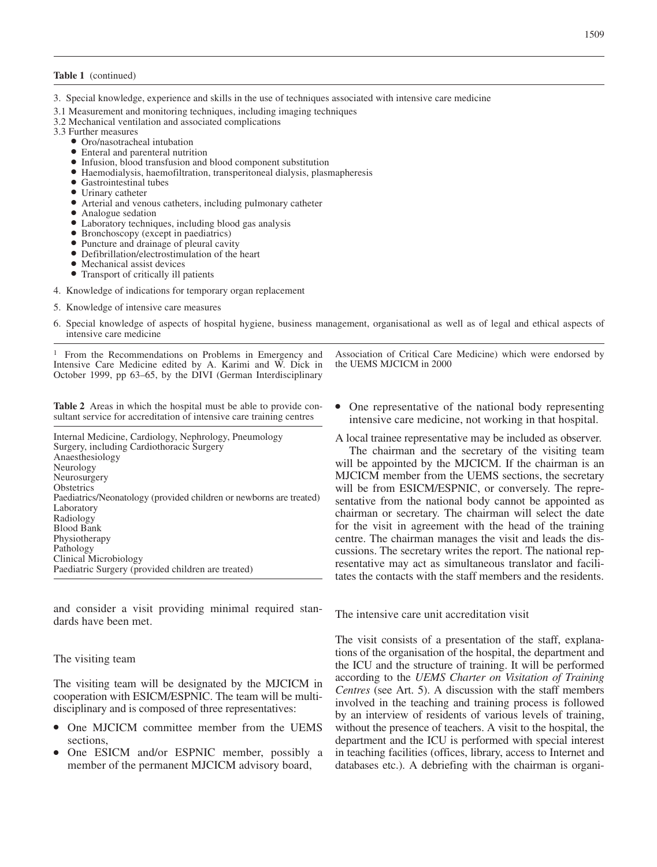#### **Table 1** (continued)

- 3. Special knowledge, experience and skills in the use of techniques associated with intensive care medicine
- 3.1 Measurement and monitoring techniques, including imaging techniques
- 3.2 Mechanical ventilation and associated complications
- -
	-
	-
- 3.3 Further measures<br>
Oro/nasotracheal intubation<br>
Enteral and parenteral nutrition<br>
Infusion, blood transfusion and blood component substitution<br>
Haemodialysis, haemofiltration, transperitoneal dialysis, plasmaphe
	-
	-
	-
	-
	-
	-
	-
	-
	-
	-
- 4. Knowledge of indications for temporary organ replacement
- 5. Knowledge of intensive care measures
- 6. Special knowledge of aspects of hospital hygiene, business management, organisational as well as of legal and ethical aspects of intensive care medicine

<sup>1</sup> From the Recommendations on Problems in Emergency and Intensive Care Medicine edited by A. Karimi and W. Dick in October 1999, pp 63–65, by the DIVI (German Interdisciplinary

**Table 2** Areas in which the hospital must be able to provide consultant service for accreditation of intensive care training centres

Internal Medicine, Cardiology, Nephrology, Pneumology Surgery, including Cardiothoracic Surgery Anaesthesiology Neurology Neurosurgery **Obstetrics** Paediatrics/Neonatology (provided children or newborns are treated) Laboratory Radiology Blood Bank Physiotherapy Pathology Clinical Microbiology Paediatric Surgery (provided children are treated)

and consider a visit providing minimal required standards have been met.

#### The visiting team

The visiting team will be designated by the MJCICM in cooperation with ESICM/ESPNIC. The team will be multidisciplinary and is composed of three representatives:

- One MJCICM committee member from the UEMS sections,
- One ESICM and/or ESPNIC member, possibly a member of the permanent MJCICM advisory board,

Association of Critical Care Medicine) which were endorsed by the UEMS MJCICM in 2000

• One representative of the national body representing intensive care medicine, not working in that hospital.

A local trainee representative may be included as observer.

The chairman and the secretary of the visiting team will be appointed by the MJCICM. If the chairman is an MJCICM member from the UEMS sections, the secretary will be from ESICM/ESPNIC, or conversely. The representative from the national body cannot be appointed as chairman or secretary. The chairman will select the date for the visit in agreement with the head of the training centre. The chairman manages the visit and leads the discussions. The secretary writes the report. The national representative may act as simultaneous translator and facilitates the contacts with the staff members and the residents.

The intensive care unit accreditation visit

The visit consists of a presentation of the staff, explanations of the organisation of the hospital, the department and the ICU and the structure of training. It will be performed according to the *UEMS Charter on Visitation of Training Centres* (see Art. 5). A discussion with the staff members involved in the teaching and training process is followed by an interview of residents of various levels of training, without the presence of teachers. A visit to the hospital, the department and the ICU is performed with special interest in teaching facilities (offices, library, access to Internet and databases etc.). A debriefing with the chairman is organi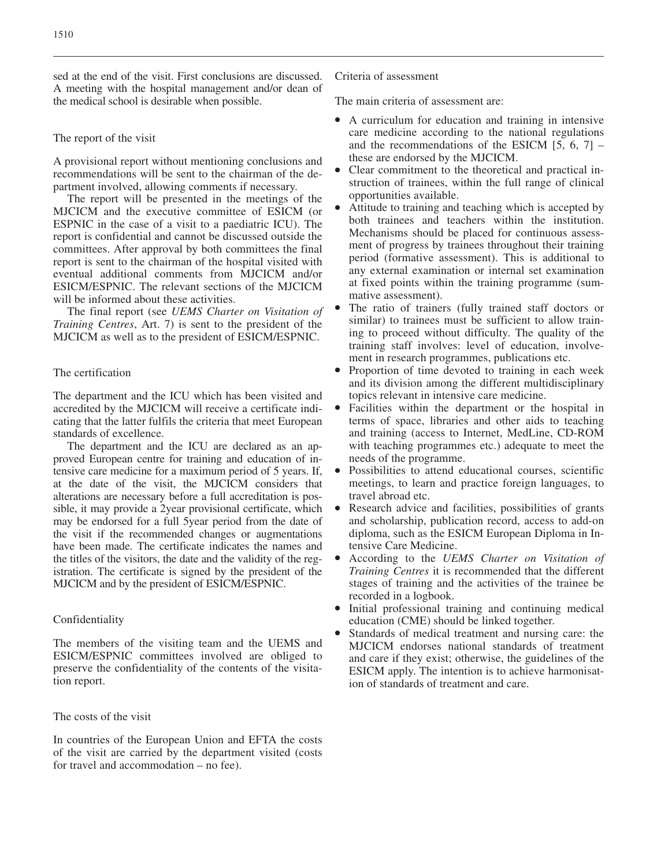sed at the end of the visit. First conclusions are discussed. A meeting with the hospital management and/or dean of the medical school is desirable when possible.

### The report of the visit

A provisional report without mentioning conclusions and recommendations will be sent to the chairman of the department involved, allowing comments if necessary.

The report will be presented in the meetings of the MJCICM and the executive committee of ESICM (or ESPNIC in the case of a visit to a paediatric ICU). The report is confidential and cannot be discussed outside the committees. After approval by both committees the final report is sent to the chairman of the hospital visited with eventual additional comments from MJCICM and/or ESICM/ESPNIC. The relevant sections of the MJCICM will be informed about these activities.

The final report (see *UEMS Charter on Visitation of Training Centres*, Art. 7) is sent to the president of the MJCICM as well as to the president of ESICM/ESPNIC.

### The certification

The department and the ICU which has been visited and accredited by the MJCICM will receive a certificate indicating that the latter fulfils the criteria that meet European standards of excellence.

The department and the ICU are declared as an approved European centre for training and education of intensive care medicine for a maximum period of 5 years. If, at the date of the visit, the MJCICM considers that alterations are necessary before a full accreditation is possible, it may provide a 2year provisional certificate, which may be endorsed for a full 5year period from the date of the visit if the recommended changes or augmentations have been made. The certificate indicates the names and the titles of the visitors, the date and the validity of the registration. The certificate is signed by the president of the MJCICM and by the president of ESICM/ESPNIC.

### Confidentiality

The members of the visiting team and the UEMS and ESICM/ESPNIC committees involved are obliged to preserve the confidentiality of the contents of the visitation report.

### The costs of the visit

In countries of the European Union and EFTA the costs of the visit are carried by the department visited (costs for travel and accommodation – no fee).

#### Criteria of assessment

The main criteria of assessment are:

- A curriculum for education and training in intensive care medicine according to the national regulations and the recommendations of the ESICM  $[5, 6, 7]$  – these are endorsed by the MJCICM.
- Clear commitment to the theoretical and practical instruction of trainees, within the full range of clinical opportunities available.
- Attitude to training and teaching which is accepted by both trainees and teachers within the institution. Mechanisms should be placed for continuous assessment of progress by trainees throughout their training period (formative assessment). This is additional to any external examination or internal set examination at fixed points within the training programme (summative assessment).
- The ratio of trainers (fully trained staff doctors or similar) to trainees must be sufficient to allow training to proceed without difficulty. The quality of the training staff involves: level of education, involvement in research programmes, publications etc.
- Proportion of time devoted to training in each week and its division among the different multidisciplinary topics relevant in intensive care medicine.
- Facilities within the department or the hospital in terms of space, libraries and other aids to teaching and training (access to Internet, MedLine, CD-ROM with teaching programmes etc.) adequate to meet the needs of the programme.
- Possibilities to attend educational courses, scientific meetings, to learn and practice foreign languages, to travel abroad etc.
- Research advice and facilities, possibilities of grants and scholarship, publication record, access to add-on diploma, such as the ESICM European Diploma in Intensive Care Medicine.
- According to the *UEMS Charter on Visitation of Training Centres* it is recommended that the different stages of training and the activities of the trainee be recorded in a logbook.
- Initial professional training and continuing medical education (CME) should be linked together.
- Standards of medical treatment and nursing care: the MJCICM endorses national standards of treatment and care if they exist; otherwise, the guidelines of the ESICM apply. The intention is to achieve harmonisation of standards of treatment and care.